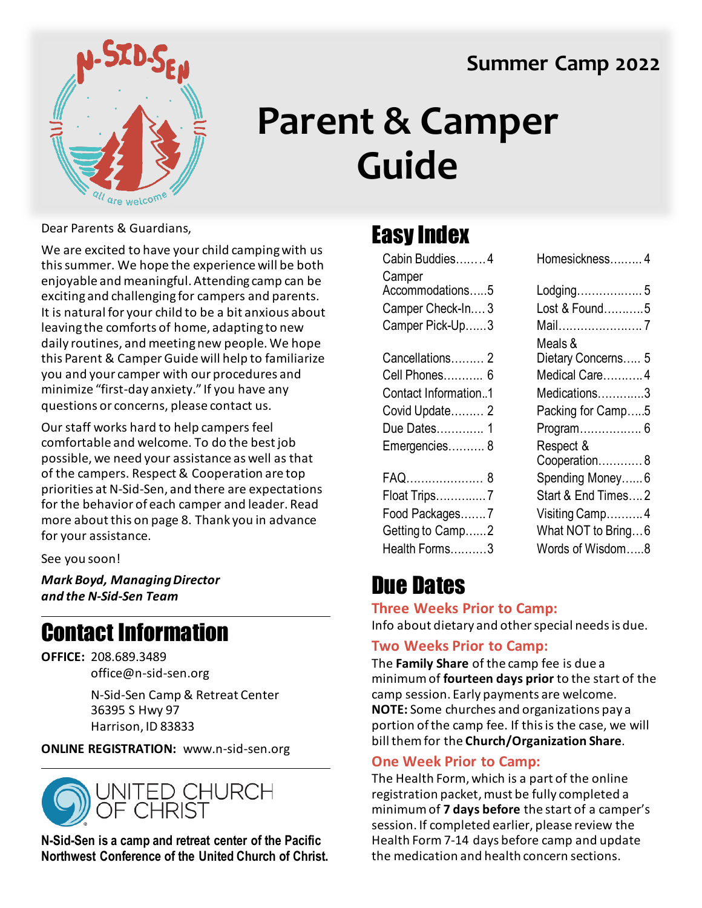#### **Summer Camp 2022**



## **Parent & Camper Guide**

Dear Parents & Guardians,

We are excited to have your child camping with us this summer. We hope the experience will be both enjoyable and meaningful. Attending camp can be exciting and challenging for campers and parents. It is natural for your child to be a bit anxious about leaving the comforts of home, adapting to new daily routines, and meeting new people. We hope this Parent & Camper Guide will help to familiarize you and your camper with our procedures and minimize "first-day anxiety." If you have any questions or concerns, please contact us.

Our staff works hard to help campers feel comfortable and welcome. To do the best job possible, we need your assistance as well as that of the campers. Respect & Cooperation are top priorities at N-Sid-Sen, and there are expectations for the behavior of each camper and leader. Read more about this on page 8. Thank you in advance for your assistance.

See you soon!

*Mark Boyd, Managing Director and the N-Sid-Sen Team*

#### Contact Information

**OFFICE:** 208.689.3489 office@n-sid-sen.org

> N-Sid-Sen Camp & Retreat Center 36395 S Hwy 97 Harrison, ID 83833

**ONLINE REGISTRATION:** www.n-sid-sen.org



**N-Sid-Sen is a camp and retreat center of the Pacific Northwest Conference of the United Church of Christ.**

#### Easy Index

| Cabin Buddies4       | Homesickness 4     |
|----------------------|--------------------|
| Camper               |                    |
| Accommodations5      | Lodging 5          |
| Camper Check-In3     | Lost & Found5      |
| Camper Pick-Up3      |                    |
|                      | Meals &            |
| Cancellations 2      | Dietary Concerns 5 |
| Cell Phones 6        | Medical Care4      |
| Contact Information1 | Medications3       |
| Covid Update 2       | Packing for Camp5  |
| Due Dates 1          | Program 6          |
| Emergencies 8        | Respect &          |
|                      | Cooperation8       |
| FAQ 8                | Spending Money 6   |
| Float Trips7         | Start & End Times2 |
| Food Packages7       | Visiting Camp4     |
| Getting to Camp2     | What NOT to Bring6 |
| Health Forms3        | Words of Wisdom8   |
|                      |                    |

| Homesickness……… 4  |
|--------------------|
| Lodging 5          |
| Lost & Found5      |
| Mail7              |
| Meals &            |
| Dietary Concerns 5 |
| Medical Care4      |
| Medications3       |
| Packing for Camp5  |
| Program 6          |
| Respect &          |
| Cooperation8       |
| Spending Money 6   |
| Start & End Times2 |
| Visiting Camp4     |
| What NOT to Bring6 |
| Words of Wisdom8   |
|                    |

### Due Dates

#### **Three Weeks Prior to Camp:**

Info about dietary and other special needs is due.

#### **Two Weeks Prior to Camp:**

The **Family Share** of the camp fee is due a minimum of **fourteen days prior** to the start of the camp session. Early payments are welcome. **NOTE:** Some churches and organizations pay a portion of the camp fee. If this is the case, we will bill them for the **Church/Organization Share**.

#### **One Week Prior to Camp:**

The Health Form, which is a part of the online registration packet, must be fully completed a minimum of **7 days before** the start of a camper's session. If completed earlier, please review the Health Form 7-14 days before camp and update the medication and health concern sections.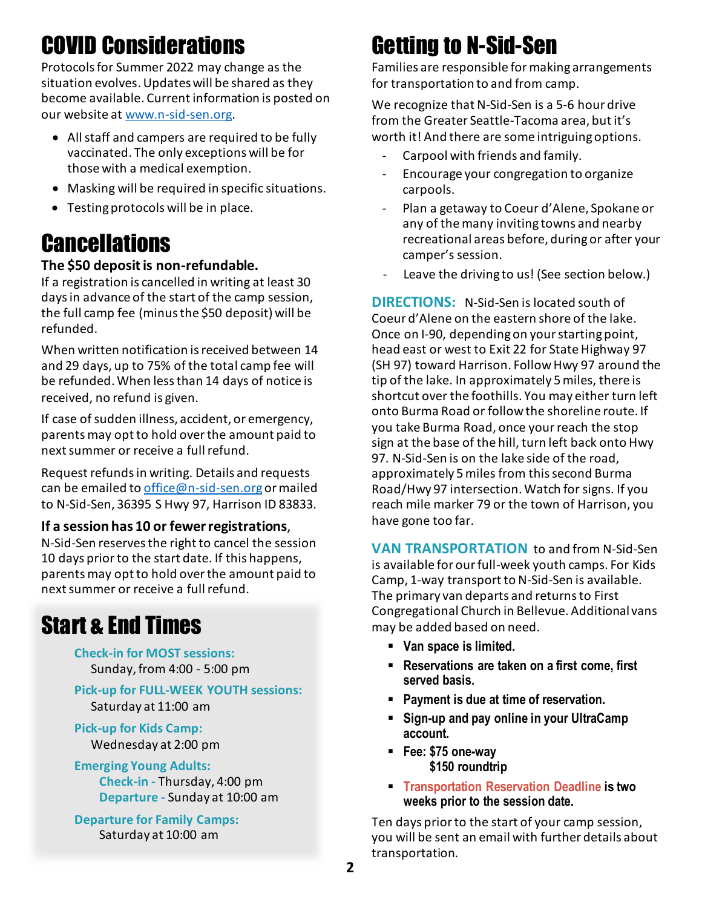### COVID Considerations

Protocols for Summer 2022 may change as the situation evolves. Updates will be shared as they become available. Current information is posted on our website at [www.n-sid-sen.org.](http://www.n-sid-sen.org/)

- All staff and campers are required to be fully vaccinated. The only exceptions will be for those with a medical exemption.
- Masking will be required in specific situations.
- Testing protocols will be in place.

#### **Cancellations**

#### **The \$50 deposit is non-refundable.**

If a registration is cancelled in writing at least 30 days in advance of the start of the camp session, the full camp fee (minus the \$50 deposit) will be refunded.

When written notification is received between 14 and 29 days, up to 75% of the total camp fee will be refunded. When less than 14 days of notice is received, no refund is given.

If case of sudden illness, accident, or emergency, parents may opt to hold over the amount paid to next summer or receive a full refund.

Request refunds in writing. Details and requests can be emailed to [office@n-sid-sen.org](mailto:office@n-sid-sen.org) or mailed to N-Sid-Sen, 36395 S Hwy 97, Harrison ID 83833.

#### **If a session has 10 or fewer registrations**,

N-Sid-Sen reserves the right to cancel the session 10 days prior to the start date. If this happens, parents may opt to hold over the amount paid to next summer or receive a full refund.

#### Start & End Times

**Check-in for MOST sessions:** Sunday,from 4:00 - 5:00 pm

**Pick-up for FULL-WEEK YOUTH sessions:** Saturday at 11:00 am

**Pick-up for Kids Camp:** Wednesday at 2:00 pm

#### **Emerging Young Adults:**

**Check-in -** Thursday, 4:00 pm **Departure -** Sunday at 10:00 am

**Departure for Family Camps:** Saturday at 10:00 am

### Getting to N-Sid-Sen

Families are responsible for making arrangements for transportation to and from camp.

We recognize that N-Sid-Sen is a 5-6 hour drive from the Greater Seattle-Tacoma area, but it's worth it! And there are some intriguing options.

- Carpool with friends and family.
- Encourage your congregation to organize carpools.
- Plan a getaway to Coeur d'Alene, Spokane or any of the many inviting towns and nearby recreational areas before, during or after your camper's session.
- Leave the driving to us! (See section below.)

**DIRECTIONS:** N-Sid-Sen is located south of Coeur d'Alene on the eastern shore of the lake. Once on I-90, depending on your starting point, head east or west to Exit 22 for State Highway 97 (SH 97) toward Harrison. Follow Hwy 97 around the tip of the lake. In approximately 5 miles, there is shortcut over the foothills. You may either turn left onto Burma Road or follow the shoreline route. If you take Burma Road, once your reach the stop sign at the base of the hill, turn left back onto Hwy 97. N-Sid-Sen is on the lake side of the road, approximately 5 miles from this second Burma Road/Hwy 97 intersection. Watch for signs. If you reach mile marker 79 or the town of Harrison, you have gone too far.

**VAN TRANSPORTATION** to and from N-Sid-Sen is available for our full-week youth camps. For Kids Camp, 1-way transport to N-Sid-Sen is available. The primary van departs and returns to First Congregational Church in Bellevue. Additional vans may be added based on need.

- **Van space is limited.**
- **Reservations are taken on a first come, first served basis.**
- **Payment is due at time of reservation.**
- **Sign-up and pay online in your UltraCamp account.**
- **Fee: \$75 one-way \$150 roundtrip**
- **Transportation Reservation Deadline is two weeks prior to the session date.**

Ten days prior to the start of your camp session, you will be sent an email with further details about transportation.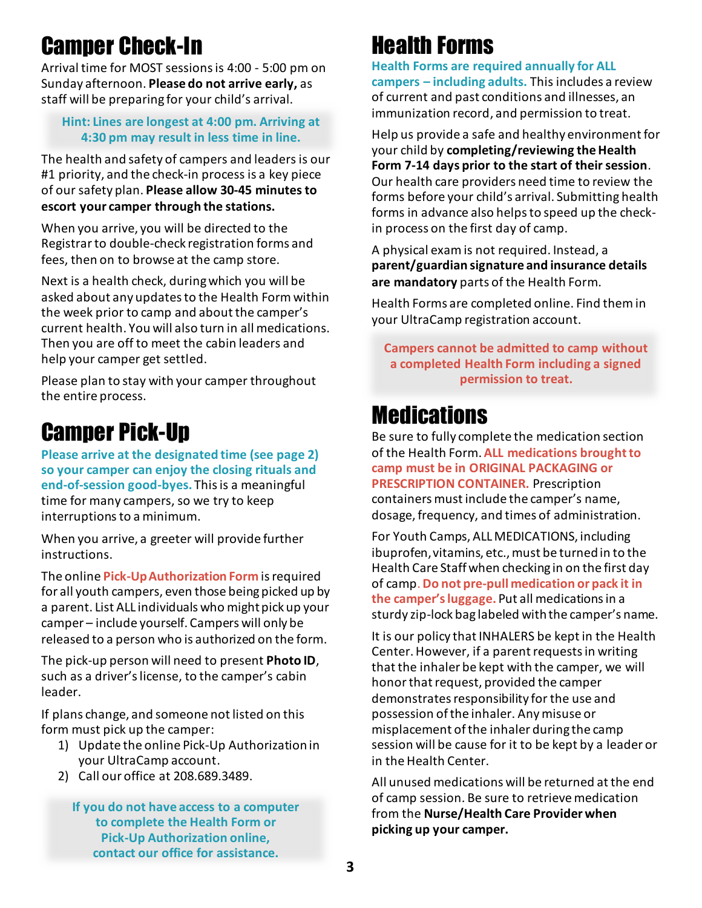### Camper Check-In

Arrival time for MOST sessions is 4:00 - 5:00 pm on Sunday afternoon. **Please do not arrive early,** as staff will be preparing for your child's arrival.

#### **Hint: Lines are longest at 4:00 pm. Arriving at 4:30 pm may result in less time in line.**

The health and safety of campers and leaders is our #1 priority, and the check-in process is a key piece of our safety plan. **Please allow 30-45 minutes to escort your camper through the stations.**

When you arrive, you will be directed to the Registrarto double-check registration forms and fees, then on to browse at the camp store.

Next is a health check, during which you will be asked about any updates to the Health Formwithin the week prior to camp and about the camper's current health. You will also turn in all medications. Then you are off to meet the cabin leaders and help your camper get settled.

Please plan to stay with your camper throughout the entire process.

#### Camper Pick-Up

**Please arrive at the designated time (see page 2) so your camper can enjoy the closing rituals and end-of-session good-byes.** This is a meaningful time for many campers, so we try to keep interruptions to a minimum.

When you arrive, a greeter will provide further instructions.

The online **Pick-Up Authorization Form** is required for all youth campers, even those being picked up by a parent. List ALL individuals who might pick up your camper – include yourself. Campers will only be released to a person who is authorized on the form.

The pick-up person will need to present **Photo ID**, such as a driver's license, to the camper's cabin leader.

If plans change, and someone not listed on this form must pick up the camper:

- 1) Update the online Pick-Up Authorization in your UltraCamp account.
- 2) Call our office at 208.689.3489.

**If you do not have access to a computer to complete the Health Form or Pick-Up Authorization online, contact our office for assistance.**

#### Health Forms

**Health Forms are required annually for ALL campers – including adults.** This includes a review of current and past conditions and illnesses, an immunization record, and permission to treat.

Help us provide a safe and healthy environment for your child by **completing/reviewing theHealth Form 7-14 days prior to the start of their session**. Our health care providers need time to review the forms before your child's arrival. Submitting health forms in advance also helps to speed up the checkin process on the first day of camp.

A physical exam is not required. Instead, a **parent/guardian signature and insurance details are mandatory** parts of the Health Form.

Health Forms are completed online. Find them in your UltraCamp registration account.

**Campers cannot be admitted to camp without a completed Health Form including a signed permission to treat.**

#### **Medications**

Be sure to fully complete the medication section of the Health Form. **ALL medications brought to camp must be in ORIGINAL PACKAGING or PRESCRIPTION CONTAINER.** Prescription containers must include the camper's name, dosage, frequency, and times of administration.

For Youth Camps, ALL MEDICATIONS, including ibuprofen, vitamins, etc., must be turned in to the Health Care Staff when checking in on the first day of camp. **Do not pre-pull medication or pack it in the camper's luggage.** Put all medications in a sturdy zip-lock bag labeled with the camper's name.

It is our policy that INHALERS be kept in the Health Center. However, if a parent requests in writing that the inhaler be kept with the camper, we will honor that request, provided the camper demonstrates responsibility for the use and possession of the inhaler. Any misuse or misplacement of the inhaler during the camp session will be cause for it to be kept by a leader or in the Health Center.

All unused medications will be returned at the end of camp session. Be sure to retrieve medication from the **Nurse/Health Care Provider when picking up your camper.**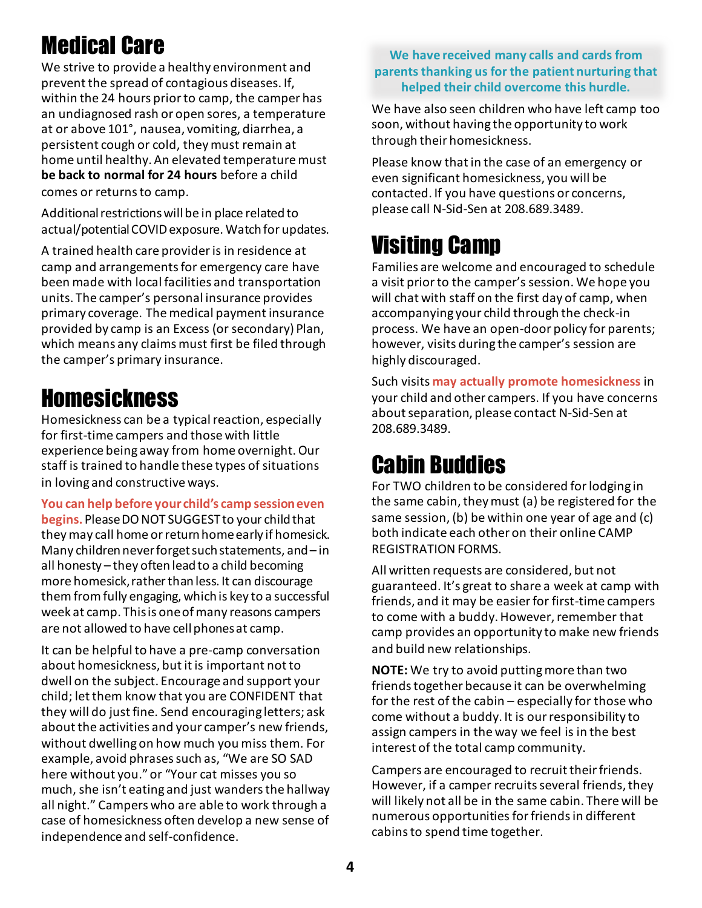### Medical Care

We strive to provide a healthy environment and prevent the spread of contagious diseases. If, within the 24 hours prior to camp, the camper has an undiagnosed rash or open sores, a temperature at or above 101°, nausea, vomiting, diarrhea, a persistent cough or cold, theymust remain at home until healthy. An elevated temperature must **be back to normal for 24 hours** before a child comes or returns to camp.

Additional restrictions will be in place related to actual/potential COVID exposure. Watch for updates.

A trained health care provider is in residence at camp and arrangements for emergency care have been made with local facilities and transportation units. The camper's personal insurance provides primary coverage. The medical payment insurance provided by camp is an Excess (or secondary) Plan, which means any claims must first be filed through the camper's primary insurance.

#### **Homesickness**

Homesickness can be a typical reaction, especially for first-time campers and those with little experience being away from home overnight. Our staff is trained to handle these types of situations in loving and constructive ways.

**You can help before your child's camp session even begins.** Please DO NOT SUGGEST to your child that theymay call home or return home early if homesick. Many children never forget such statements, and – in all honesty – they often leadto a child becoming more homesick, rather than less. It can discourage them from fully engaging, which is key to a successful week at camp. This is one of many reasons campers are not allowed to have cell phones at camp.

It can be helpful to have a pre-camp conversation about homesickness, but it is important not to dwell on the subject. Encourage and support your child; let them know that you are CONFIDENT that they will do just fine. Send encouraging letters; ask about the activities and your camper's new friends, without dwelling on how much you miss them. For example, avoid phrases such as, "We are SO SAD here without you." or "Your cat misses you so much, she isn't eating and just wanders the hallway all night." Campers who are able to work through a case of homesickness often develop a new sense of independence and self-confidence.

#### **We have received many calls and cards from parents thanking us for the patient nurturing that helped their child overcome this hurdle.**

We have also seen children who have left camp too soon, without having the opportunity to work through their homesickness.

Please know that in the case of an emergency or even significant homesickness, you will be contacted. If you have questions or concerns, please call N-Sid-Sen at 208.689.3489.

### Visiting Camp

Families are welcome and encouraged to schedule a visit prior to the camper's session. We hope you will chat with staff on the first day of camp, when accompanying your child through the check-in process. We have an open-door policy for parents; however, visits during the camper's session are highly discouraged.

Such visits **may actually promote homesickness** in your child and other campers. If you have concerns about separation, please contact N-Sid-Sen at 208.689.3489.

### Cabin Buddies

For TWO children to be considered for lodging in the same cabin, they must (a) be registered for the same session, (b) be within one year of age and (c) both indicate each other on their online CAMP REGISTRATION FORMS.

All written requests are considered, but not guaranteed. It's great to share a week at camp with friends, and it may be easier for first-time campers to come with a buddy. However, remember that camp provides an opportunity to make new friends and build new relationships.

**NOTE:** We try to avoid putting more than two friends together because it can be overwhelming for the rest of the cabin – especially for those who come without a buddy. It is our responsibility to assign campers in the way we feel is in the best interest of the total camp community.

Campers are encouraged to recruit their friends. However, if a camper recruits several friends, they will likely not all be in the same cabin. There will be numerous opportunities for friends in different cabins to spend time together.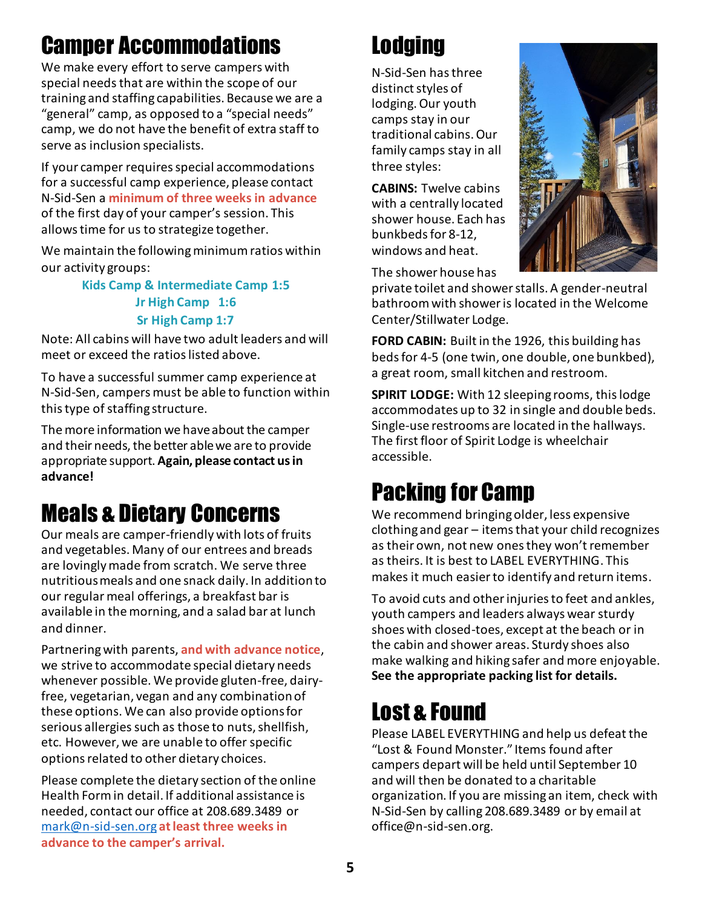### Camper Accommodations

We make every effort to serve campers with special needs that are within the scope of our training and staffing capabilities. Because we are a "general" camp, as opposed to a "special needs" camp, we do not have the benefit of extra staff to serve as inclusion specialists.

If your camper requires special accommodations for a successful camp experience, please contact N-Sid-Sen a **minimum of three weeks in advance** of the first day of your camper's session. This allows time for us to strategize together.

We maintain the following minimum ratios within our activity groups:

#### **Kids Camp & Intermediate Camp 1:5 Jr High Camp 1:6 Sr High Camp 1:7**

Note: All cabins will have two adult leaders and will meet or exceed the ratios listed above.

To have a successful summer camp experience at N-Sid-Sen, campers must be able to function within this type of staffing structure.

The more information we have about the camper and their needs, the better able we are to provide appropriate support. **Again, please contact us in advance!**

### Meals & Dietary Concerns

Our meals are camper-friendly with lots of fruits and vegetables. Many of our entrees and breads are lovingly made from scratch. We serve three nutritious meals and one snack daily. In addition to our regular meal offerings, a breakfast bar is available in the morning, and a salad bar at lunch and dinner.

Partnering with parents, **and with advance notice**, we strive to accommodate special dietary needs whenever possible. We provide gluten-free, dairyfree, vegetarian, vegan and any combination of these options. We can also provide options for serious allergies such as those to nuts, shellfish, etc. However, we are unable to offer specific options related to other dietary choices.

Please complete the dietary section of the online Health Form in detail. If additional assistance is needed, contact our office at 208.689.3489 or [mark@n-sid-sen.org](mailto:mark@n-sid-sen.org) **at least three weeks in advance to the camper's arrival.**

### **Lodging**

N-Sid-Sen hasthree distinct styles of lodging. Our youth camps stay in our traditional cabins. Our family camps stay in all three styles:

**CABINS:** Twelve cabins with a centrally located shower house. Each has bunkbeds for 8-12, windows and heat.

The shower house has

private toilet and shower stalls. A gender-neutral bathroom with shower is located in the Welcome Center/Stillwater Lodge.

**FORD CABIN:** Built in the 1926, this building has beds for 4-5 (one twin, one double, one bunkbed), a great room, small kitchen and restroom.

**SPIRIT LODGE:** With 12 sleeping rooms, this lodge accommodates up to 32 in single and double beds. Single-use restrooms are located in the hallways. The first floor of Spirit Lodge is wheelchair accessible.

### Packing for Camp

We recommend bringing older, less expensive clothing and gear – items that your child recognizes as their own, not new ones they won't remember as theirs. It is best to LABEL EVERYTHING. This makes it much easier to identify and return items.

To avoid cuts and other injuries to feet and ankles, youth campers and leaders always wear sturdy shoes with closed-toes, except at the beach or in the cabin and shower areas. Sturdy shoes also make walking and hiking safer and more enjoyable. **See the appropriate packing list for details.**

### Lost & Found

Please LABEL EVERYTHING and help us defeat the "Lost & Found Monster." Items found after campers depart will be held until September 10 and will then be donated to a charitable organization. If you are missing an item, check with N-Sid-Sen by calling 208.689.3489 or by email at office@n-sid-sen.org.

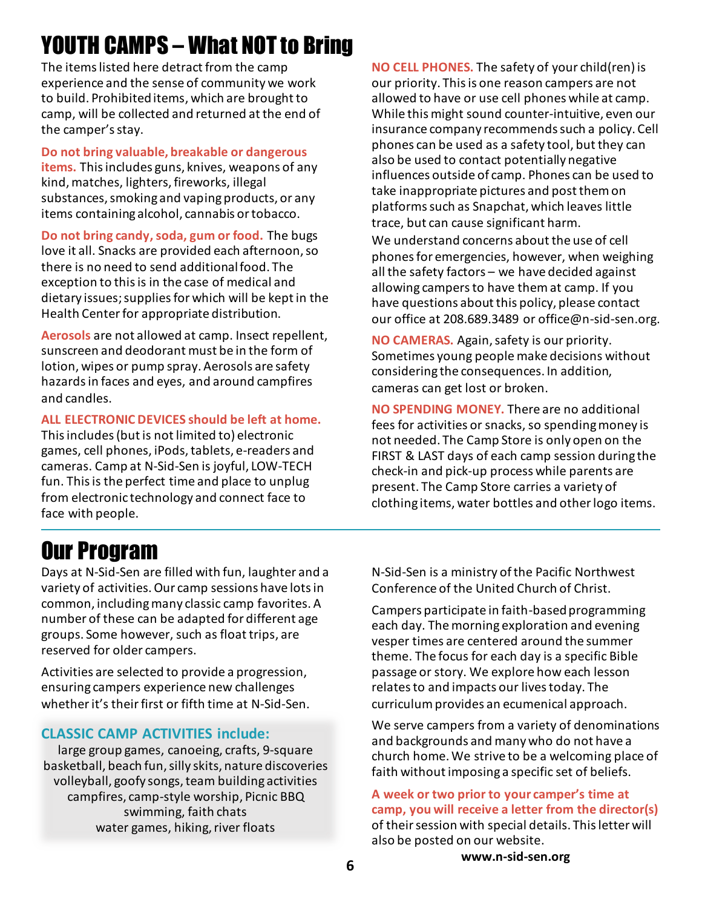### YOUTH CAMPS – What NOT to Bring

The items listed here detract from the camp experience and the sense of community we work to build. Prohibited items, which are brought to camp, will be collected and returned at the end of the camper's stay.

**Do not bring valuable, breakable or dangerous items.** This includes guns, knives, weapons of any kind, matches, lighters, fireworks, illegal substances, smoking and vaping products, or any items containing alcohol, cannabis or tobacco.

**Do not bring candy, soda, gum or food.** The bugs love it all. Snacks are provided each afternoon, so there is no need to send additional food. The exception to this is in the case of medical and dietary issues;suppliesfor which will be kept in the Health Center for appropriate distribution.

**Aerosols** are not allowed at camp. Insect repellent, sunscreen and deodorant must be in the form of lotion, wipes or pump spray. Aerosols are safety hazards in faces and eyes, and around campfires and candles.

#### **ALL ELECTRONIC DEVICES should be left at home.**

This includes (but is not limited to) electronic games, cell phones, iPods, tablets, e-readers and cameras. Camp at N-Sid-Sen is joyful, LOW-TECH fun. This is the perfect time and place to unplug from electronic technology and connect face to face with people.

**NO CELL PHONES.** The safety of your child(ren) is our priority. This is one reason campers are not allowed to have or use cell phones while at camp. While this might sound counter-intuitive, even our insurance company recommends such a policy. Cell phones can be used as a safety tool, but they can also be used to contact potentially negative influences outside of camp. Phones can be used to take inappropriate pictures and post them on platforms such as Snapchat, which leaves little trace, but can cause significant harm.

We understand concerns about the use of cell phones for emergencies, however, when weighing all the safety factors – we have decided against allowing campers to have them at camp. If you have questions about this policy, please contact our office at 208.689.3489 or office@n-sid-sen.org.

**NO CAMERAS.** Again, safety is our priority. Sometimes young people make decisions without considering the consequences. In addition, cameras can get lost or broken.

**NO SPENDING MONEY.** There are no additional fees for activities or snacks, so spending money is not needed. The Camp Store is only open on the FIRST & LAST days of each camp session during the check-in and pick-up process while parents are present. The Camp Store carries a variety of clothing items, water bottles and other logo items.

#### Our Program

Days at N-Sid-Sen are filled with fun, laughter and a variety of activities. Our camp sessions have lots in common, including many classic camp favorites. A number of these can be adapted for different age groups. Some however, such as float trips, are reserved for older campers.

Activities are selected to provide a progression, ensuring campers experience new challenges whether it's their first or fifth time at N-Sid-Sen.

#### **CLASSIC CAMP ACTIVITIES include:**

large group games, canoeing, crafts, 9-square basketball, beach fun, silly skits, nature discoveries volleyball, goofy songs, team building activities campfires, camp-style worship, Picnic BBQ swimming, faith chats water games, hiking, river floats

N-Sid-Sen is a ministry of the Pacific Northwest Conference of the United Church of Christ.

Campers participate in faith-based programming each day. The morning exploration and evening vesper times are centered around the summer theme. The focus for each day is a specific Bible passage or story. We explore how each lesson relates to and impacts our lives today. The curriculum provides an ecumenical approach.

We serve campers from a variety of denominations and backgrounds and many who do not have a church home. We strive to be a welcoming place of faith without imposing a specific set of beliefs.

#### **A week or two prior to your camper's time at camp, you will receive a letter from the director(s)** of their session with special details. This letter will also be posted on our website.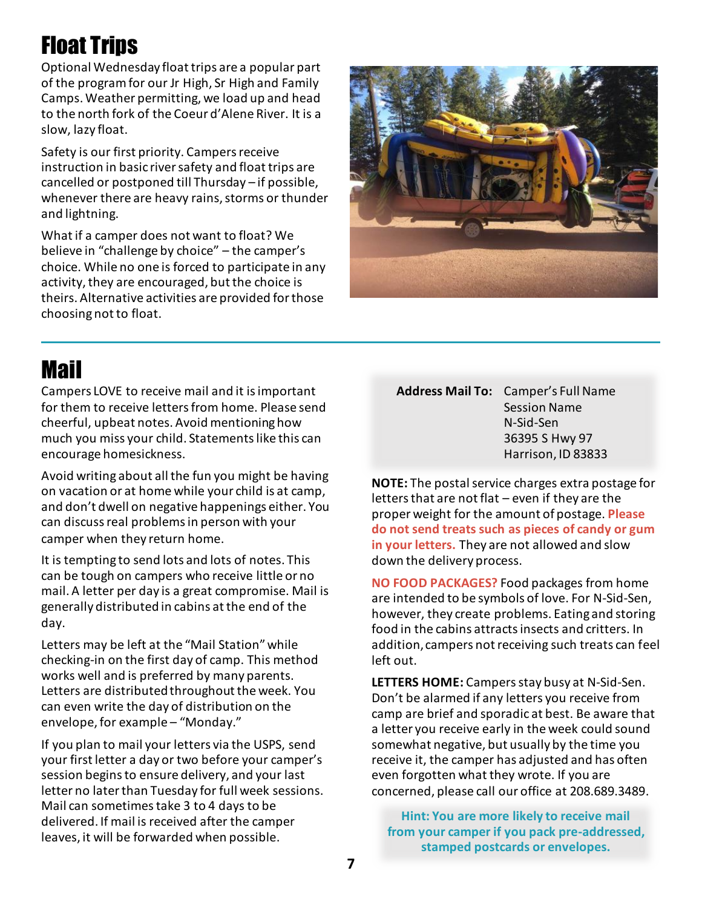### Float Trips

Optional Wednesday float trips are a popular part of the program for our Jr High, Sr High and Family Camps. Weather permitting, we load up and head to the north fork of the Coeur d'Alene River. It is a slow, lazy float.

Safety is our first priority. Campers receive instruction in basic river safety and float trips are cancelled or postponed till Thursday – if possible, whenever there are heavy rains, storms or thunder and lightning.

What if a camper does not want to float? We believe in "challenge by choice" – the camper's choice. While no one is forced to participate in any activity, they are encouraged, but the choice is theirs. Alternative activities are provided for those choosing not to float.



#### Mail

Campers LOVE to receive mail and it is important for them to receive letters from home. Please send cheerful, upbeat notes. Avoid mentioning how much you miss your child. Statements like this can encourage homesickness.

Avoid writing about all the fun you might be having on vacation or at home while your child is at camp, and don't dwell on negative happenings either. You can discuss real problems in person with your camper when they return home.

It is tempting to send lots and lots of notes. This can be tough on campers who receive little or no mail. A letter per day is a great compromise. Mail is generally distributed in cabins at the end of the day.

Letters may be left at the "Mail Station" while checking-in on the first day of camp. This method works well and is preferred by many parents. Letters are distributed throughout the week. You can even write the day of distribution on the envelope, for example – "Monday."

If you plan to mail your letters via the USPS, send your first letter a day or two before your camper's session begins to ensure delivery, and your last letter no later than Tuesday for full week sessions. Mail can sometimes take 3 to 4 days to be delivered. If mail is received after the camper leaves, it will be forwarded when possible.

#### **Address Mail To:** Camper's Full Name Session Name N-Sid-Sen 36395 S Hwy 97 Harrison, ID 83833

**NOTE:** The postal service charges extra postage for letters that are not flat – even if they are the proper weight for the amount of postage. **Please do not send treats such as pieces of candy or gum in your letters.** They are not allowed and slow down the delivery process.

**NO FOOD PACKAGES?** Food packages from home are intended to be symbols of love. For N-Sid-Sen, however, they create problems. Eating and storing food in the cabins attracts insects and critters. In addition, campers not receiving such treats can feel left out.

**LETTERS HOME:** Campers stay busy at N-Sid-Sen. Don't be alarmed if any letters you receive from camp are brief and sporadic at best. Be aware that a letter you receive early in the week could sound somewhat negative, but usually by the time you receive it, the camper has adjusted and has often even forgotten what they wrote. If you are concerned, please call our office at 208.689.3489.

**Hint: You are more likely to receive mail from your camper if you pack pre-addressed, stamped postcards or envelopes.**